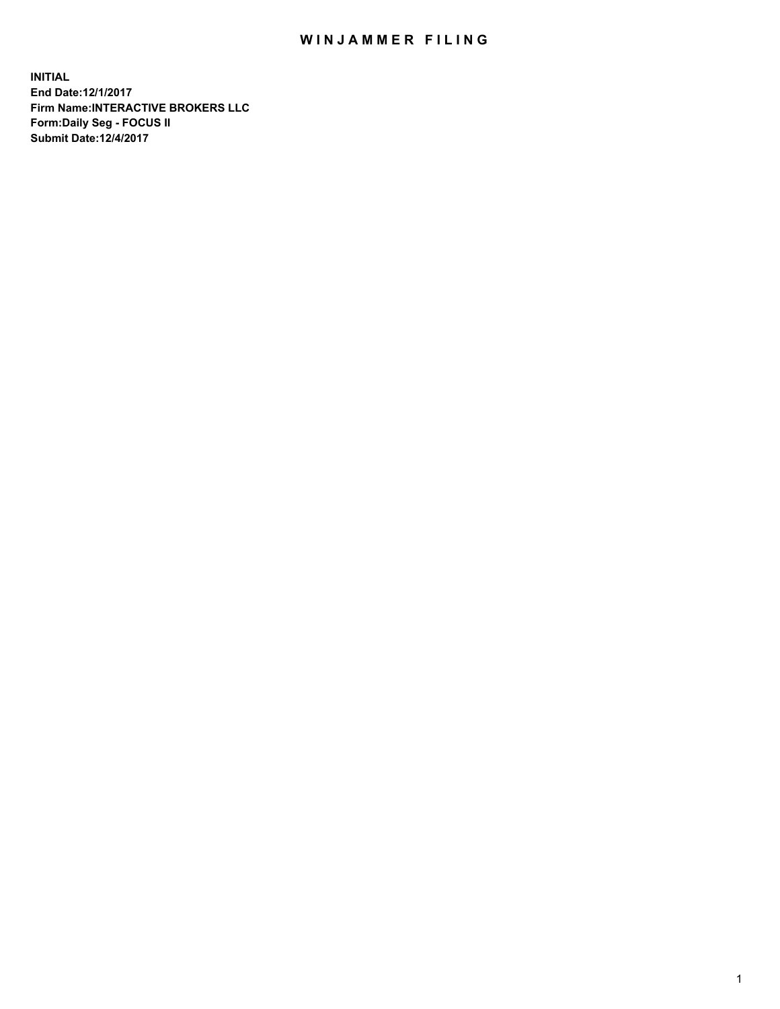## WIN JAMMER FILING

**INITIAL End Date:12/1/2017 Firm Name:INTERACTIVE BROKERS LLC Form:Daily Seg - FOCUS II Submit Date:12/4/2017**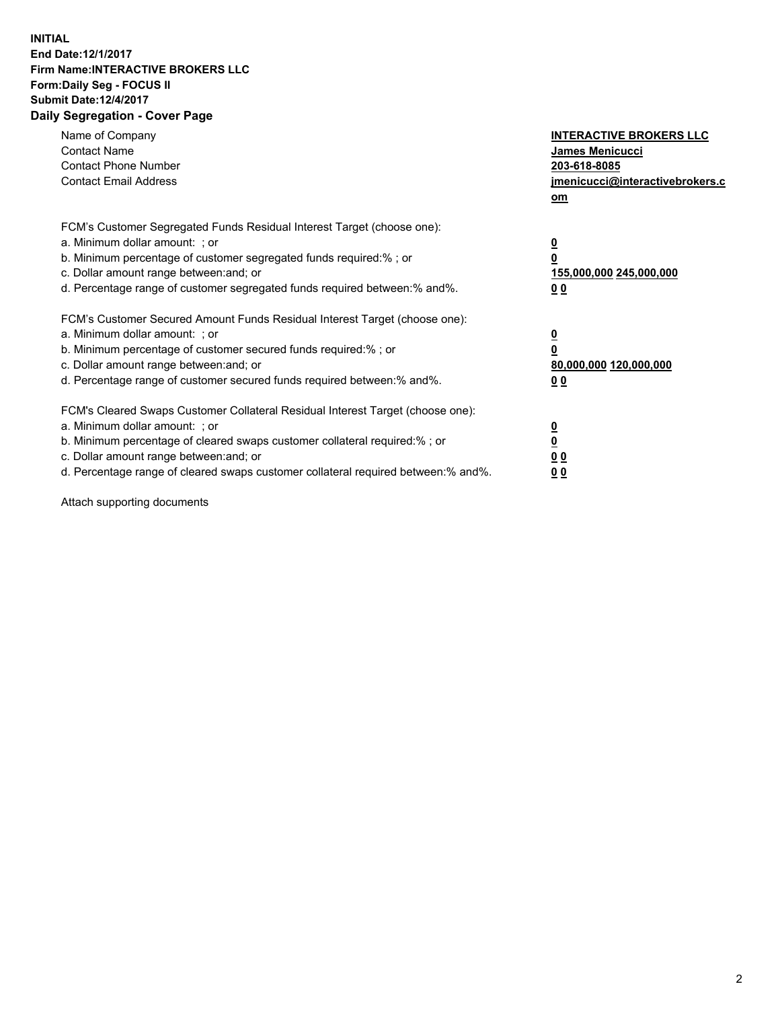## **INITIAL End Date:12/1/2017 Firm Name:INTERACTIVE BROKERS LLC Form:Daily Seg - FOCUS II Submit Date:12/4/2017 Daily Segregation - Cover Page**

| Name of Company<br><b>Contact Name</b><br><b>Contact Phone Number</b><br><b>Contact Email Address</b>                                                                                                                                                                                                                          | <b>INTERACTIVE BROKERS LLC</b><br><b>James Menicucci</b><br>203-618-8085<br>jmenicucci@interactivebrokers.c<br>om |
|--------------------------------------------------------------------------------------------------------------------------------------------------------------------------------------------------------------------------------------------------------------------------------------------------------------------------------|-------------------------------------------------------------------------------------------------------------------|
| FCM's Customer Segregated Funds Residual Interest Target (choose one):<br>a. Minimum dollar amount: ; or<br>b. Minimum percentage of customer segregated funds required:%; or<br>c. Dollar amount range between: and; or<br>d. Percentage range of customer segregated funds required between:% and%.                          | $\overline{\mathbf{0}}$<br>0<br>155,000,000 245,000,000<br>0 <sub>0</sub>                                         |
| FCM's Customer Secured Amount Funds Residual Interest Target (choose one):<br>a. Minimum dollar amount: ; or<br>b. Minimum percentage of customer secured funds required:%; or<br>c. Dollar amount range between: and; or<br>d. Percentage range of customer secured funds required between: % and %.                          | $\overline{\mathbf{0}}$<br>0<br>80,000,000 120,000,000<br>0 <sub>0</sub>                                          |
| FCM's Cleared Swaps Customer Collateral Residual Interest Target (choose one):<br>a. Minimum dollar amount: ; or<br>b. Minimum percentage of cleared swaps customer collateral required:% ; or<br>c. Dollar amount range between: and; or<br>d. Percentage range of cleared swaps customer collateral required between:% and%. | $\overline{\mathbf{0}}$<br>$\overline{\mathbf{0}}$<br>0 <sub>0</sub><br><u>00</u>                                 |

Attach supporting documents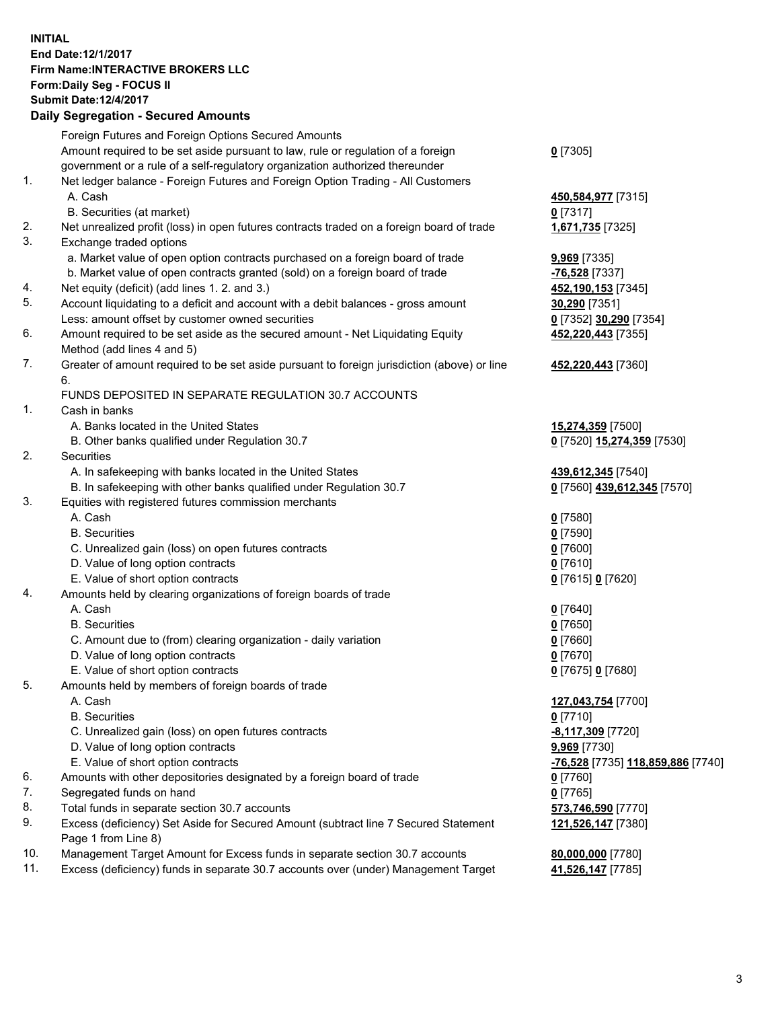## **INITIAL End Date:12/1/2017 Firm Name:INTERACTIVE BROKERS LLC Form:Daily Seg - FOCUS II Submit Date:12/4/2017 Daily Segregation - Secured Amounts**

|     | Dany Oogrogaach - Ocearea Amoanta                                                                          |                                   |
|-----|------------------------------------------------------------------------------------------------------------|-----------------------------------|
|     | Foreign Futures and Foreign Options Secured Amounts                                                        |                                   |
|     | Amount required to be set aside pursuant to law, rule or regulation of a foreign                           | $0$ [7305]                        |
|     | government or a rule of a self-regulatory organization authorized thereunder                               |                                   |
| 1.  | Net ledger balance - Foreign Futures and Foreign Option Trading - All Customers                            |                                   |
|     | A. Cash                                                                                                    | 450,584,977 [7315]                |
|     | B. Securities (at market)                                                                                  | $0$ [7317]                        |
| 2.  | Net unrealized profit (loss) in open futures contracts traded on a foreign board of trade                  | 1,671,735 [7325]                  |
| 3.  | Exchange traded options                                                                                    |                                   |
|     | a. Market value of open option contracts purchased on a foreign board of trade                             | <b>9,969</b> [7335]               |
|     | b. Market value of open contracts granted (sold) on a foreign board of trade                               | -76,528 [7337]                    |
| 4.  | Net equity (deficit) (add lines 1.2. and 3.)                                                               | 452,190,153 [7345]                |
| 5.  | Account liquidating to a deficit and account with a debit balances - gross amount                          | 30,290 [7351]                     |
|     | Less: amount offset by customer owned securities                                                           | 0 [7352] 30,290 [7354]            |
| 6.  | Amount required to be set aside as the secured amount - Net Liquidating Equity                             | 452,220,443 [7355]                |
|     | Method (add lines 4 and 5)                                                                                 |                                   |
| 7.  | Greater of amount required to be set aside pursuant to foreign jurisdiction (above) or line                | 452,220,443 [7360]                |
|     | 6.                                                                                                         |                                   |
|     | FUNDS DEPOSITED IN SEPARATE REGULATION 30.7 ACCOUNTS                                                       |                                   |
| 1.  | Cash in banks                                                                                              |                                   |
|     | A. Banks located in the United States                                                                      | 15,274,359 [7500]                 |
|     | B. Other banks qualified under Regulation 30.7                                                             | 0 [7520] 15,274,359 [7530]        |
| 2.  | Securities                                                                                                 |                                   |
|     | A. In safekeeping with banks located in the United States                                                  | 439,612,345 [7540]                |
|     | B. In safekeeping with other banks qualified under Regulation 30.7                                         | 0 [7560] 439,612,345 [7570]       |
| 3.  | Equities with registered futures commission merchants                                                      |                                   |
|     | A. Cash                                                                                                    | $0$ [7580]                        |
|     | <b>B.</b> Securities                                                                                       | $0$ [7590]                        |
|     | C. Unrealized gain (loss) on open futures contracts                                                        | $0$ [7600]                        |
|     | D. Value of long option contracts                                                                          | $0$ [7610]                        |
|     | E. Value of short option contracts                                                                         | 0 [7615] 0 [7620]                 |
| 4.  | Amounts held by clearing organizations of foreign boards of trade                                          |                                   |
|     | A. Cash                                                                                                    | $0$ [7640]                        |
|     | <b>B.</b> Securities                                                                                       | $0$ [7650]                        |
|     | C. Amount due to (from) clearing organization - daily variation                                            | $0$ [7660]                        |
|     | D. Value of long option contracts                                                                          | $0$ [7670]                        |
|     | E. Value of short option contracts                                                                         | 0 [7675] 0 [7680]                 |
| 5.  | Amounts held by members of foreign boards of trade                                                         |                                   |
|     | A. Cash                                                                                                    | 127,043,754 [7700]                |
|     | <b>B.</b> Securities                                                                                       | $0$ [7710]                        |
|     | C. Unrealized gain (loss) on open futures contracts                                                        | -8,117,309 [7720]                 |
|     | D. Value of long option contracts                                                                          | 9,969 [7730]                      |
|     | E. Value of short option contracts                                                                         | -76,528 [7735] 118,859,886 [7740] |
| 6.  | Amounts with other depositories designated by a foreign board of trade                                     | $0$ [7760]                        |
| 7.  | Segregated funds on hand                                                                                   | $0$ [7765]                        |
| 8.  | Total funds in separate section 30.7 accounts                                                              | 573,746,590 [7770]                |
| 9.  | Excess (deficiency) Set Aside for Secured Amount (subtract line 7 Secured Statement<br>Page 1 from Line 8) | 121,526,147 [7380]                |
| 10. | Management Target Amount for Excess funds in separate section 30.7 accounts                                | 80,000,000 [7780]                 |
| 11. | Excess (deficiency) funds in separate 30.7 accounts over (under) Management Target                         | 41,526,147 [7785]                 |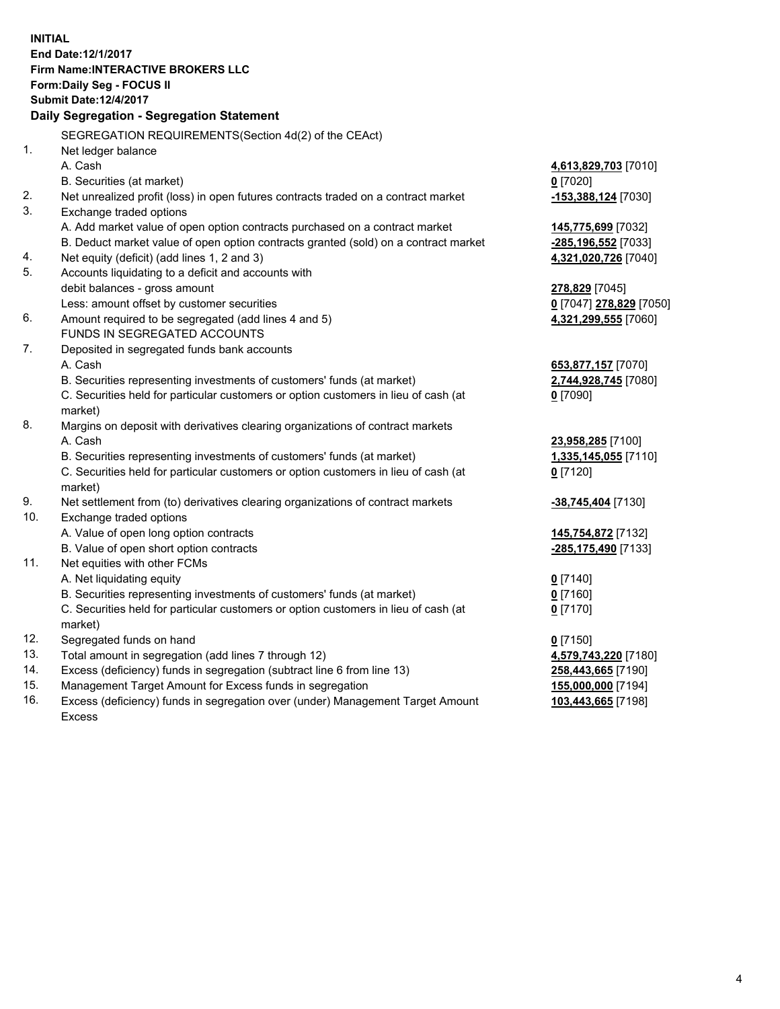**INITIAL End Date:12/1/2017 Firm Name:INTERACTIVE BROKERS LLC Form:Daily Seg - FOCUS II Submit Date:12/4/2017 Daily Segregation - Segregation Statement** SEGREGATION REQUIREMENTS(Section 4d(2) of the CEAct) 1. Net ledger balance A. Cash **4,613,829,703** [7010] B. Securities (at market) **0** [7020] 2. Net unrealized profit (loss) in open futures contracts traded on a contract market **-153,388,124** [7030] 3. Exchange traded options A. Add market value of open option contracts purchased on a contract market **145,775,699** [7032] B. Deduct market value of open option contracts granted (sold) on a contract market **-285,196,552** [7033] 4. Net equity (deficit) (add lines 1, 2 and 3) **4,321,020,726** [7040] 5. Accounts liquidating to a deficit and accounts with debit balances - gross amount **278,829** [7045] Less: amount offset by customer securities **0** [7047] **278,829** [7050] 6. Amount required to be segregated (add lines 4 and 5) **4,321,299,555** [7060] FUNDS IN SEGREGATED ACCOUNTS 7. Deposited in segregated funds bank accounts A. Cash **653,877,157** [7070] B. Securities representing investments of customers' funds (at market) **2,744,928,745** [7080] C. Securities held for particular customers or option customers in lieu of cash (at market) **0** [7090] 8. Margins on deposit with derivatives clearing organizations of contract markets A. Cash **23,958,285** [7100] B. Securities representing investments of customers' funds (at market) **1,335,145,055** [7110] C. Securities held for particular customers or option customers in lieu of cash (at market) **0** [7120] 9. Net settlement from (to) derivatives clearing organizations of contract markets **-38,745,404** [7130] 10. Exchange traded options A. Value of open long option contracts **145,754,872** [7132] B. Value of open short option contracts **-285,175,490** [7133] 11. Net equities with other FCMs A. Net liquidating equity **0** [7140] B. Securities representing investments of customers' funds (at market) **0** [7160] C. Securities held for particular customers or option customers in lieu of cash (at market) **0** [7170] 12. Segregated funds on hand **0** [7150] 13. Total amount in segregation (add lines 7 through 12) **4,579,743,220** [7180] 14. Excess (deficiency) funds in segregation (subtract line 6 from line 13) **258,443,665** [7190] 15. Management Target Amount for Excess funds in segregation **155,000,000** [7194]

16. Excess (deficiency) funds in segregation over (under) Management Target Amount Excess

**103,443,665** [7198]